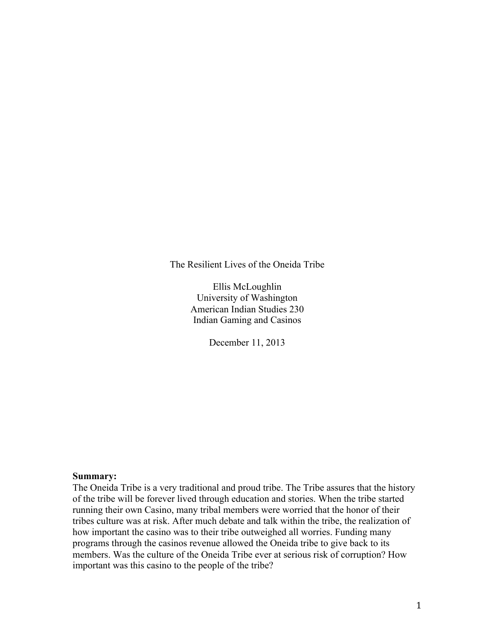The Resilient Lives of the Oneida Tribe

Ellis McLoughlin University of Washington American Indian Studies 230 Indian Gaming and Casinos

December 11, 2013

### **Summary:**

The Oneida Tribe is a very traditional and proud tribe. The Tribe assures that the history of the tribe will be forever lived through education and stories. When the tribe started running their own Casino, many tribal members were worried that the honor of their tribes culture was at risk. After much debate and talk within the tribe, the realization of how important the casino was to their tribe outweighed all worries. Funding many programs through the casinos revenue allowed the Oneida tribe to give back to its members. Was the culture of the Oneida Tribe ever at serious risk of corruption? How important was this casino to the people of the tribe?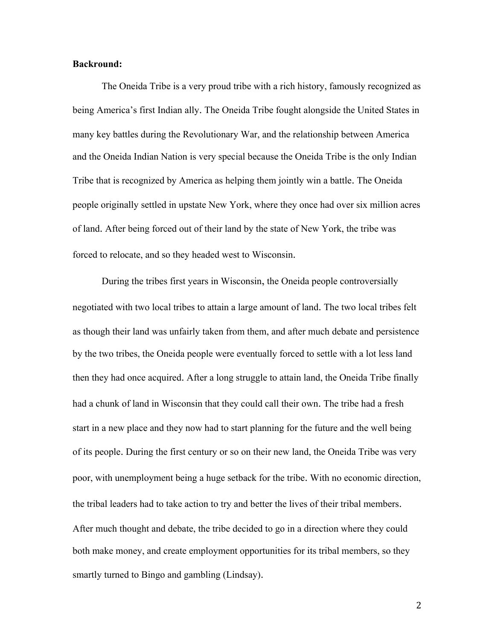### **Backround:**

The Oneida Tribe is a very proud tribe with a rich history, famously recognized as being America's first Indian ally. The Oneida Tribe fought alongside the United States in many key battles during the Revolutionary War, and the relationship between America and the Oneida Indian Nation is very special because the Oneida Tribe is the only Indian Tribe that is recognized by America as helping them jointly win a battle. The Oneida people originally settled in upstate New York, where they once had over six million acres of land. After being forced out of their land by the state of New York, the tribe was forced to relocate, and so they headed west to Wisconsin.

During the tribes first years in Wisconsin, the Oneida people controversially negotiated with two local tribes to attain a large amount of land. The two local tribes felt as though their land was unfairly taken from them, and after much debate and persistence by the two tribes, the Oneida people were eventually forced to settle with a lot less land then they had once acquired. After a long struggle to attain land, the Oneida Tribe finally had a chunk of land in Wisconsin that they could call their own. The tribe had a fresh start in a new place and they now had to start planning for the future and the well being of its people. During the first century or so on their new land, the Oneida Tribe was very poor, with unemployment being a huge setback for the tribe. With no economic direction, the tribal leaders had to take action to try and better the lives of their tribal members. After much thought and debate, the tribe decided to go in a direction where they could both make money, and create employment opportunities for its tribal members, so they smartly turned to Bingo and gambling (Lindsay).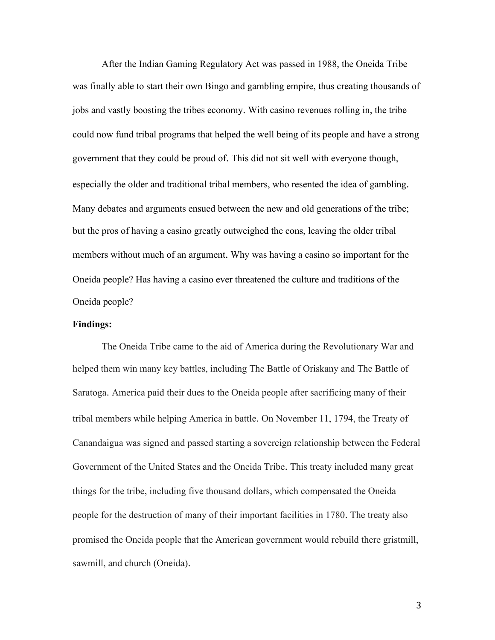After the Indian Gaming Regulatory Act was passed in 1988, the Oneida Tribe was finally able to start their own Bingo and gambling empire, thus creating thousands of jobs and vastly boosting the tribes economy. With casino revenues rolling in, the tribe could now fund tribal programs that helped the well being of its people and have a strong government that they could be proud of. This did not sit well with everyone though, especially the older and traditional tribal members, who resented the idea of gambling. Many debates and arguments ensued between the new and old generations of the tribe; but the pros of having a casino greatly outweighed the cons, leaving the older tribal members without much of an argument. Why was having a casino so important for the Oneida people? Has having a casino ever threatened the culture and traditions of the Oneida people?

## **Findings:**

The Oneida Tribe came to the aid of America during the Revolutionary War and helped them win many key battles, including The Battle of Oriskany and The Battle of Saratoga. America paid their dues to the Oneida people after sacrificing many of their tribal members while helping America in battle. On November 11, 1794, the Treaty of Canandaigua was signed and passed starting a sovereign relationship between the Federal Government of the United States and the Oneida Tribe. This treaty included many great things for the tribe, including five thousand dollars, which compensated the Oneida people for the destruction of many of their important facilities in 1780. The treaty also promised the Oneida people that the American government would rebuild there gristmill, sawmill, and church (Oneida).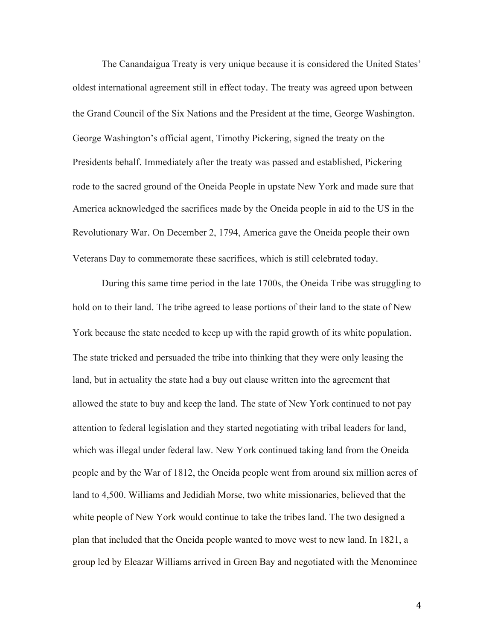The Canandaigua Treaty is very unique because it is considered the United States' oldest international agreement still in effect today. The treaty was agreed upon between the Grand Council of the Six Nations and the President at the time, George Washington. George Washington's official agent, Timothy Pickering, signed the treaty on the Presidents behalf. Immediately after the treaty was passed and established, Pickering rode to the sacred ground of the Oneida People in upstate New York and made sure that America acknowledged the sacrifices made by the Oneida people in aid to the US in the Revolutionary War. On December 2, 1794, America gave the Oneida people their own Veterans Day to commemorate these sacrifices, which is still celebrated today.

During this same time period in the late 1700s, the Oneida Tribe was struggling to hold on to their land. The tribe agreed to lease portions of their land to the state of New York because the state needed to keep up with the rapid growth of its white population. The state tricked and persuaded the tribe into thinking that they were only leasing the land, but in actuality the state had a buy out clause written into the agreement that allowed the state to buy and keep the land. The state of New York continued to not pay attention to federal legislation and they started negotiating with tribal leaders for land, which was illegal under federal law. New York continued taking land from the Oneida people and by the War of 1812, the Oneida people went from around six million acres of land to 4,500. Williams and Jedidiah Morse, two white missionaries, believed that the white people of New York would continue to take the tribes land. The two designed a plan that included that the Oneida people wanted to move west to new land. In 1821, a group led by Eleazar Williams arrived in Green Bay and negotiated with the Menominee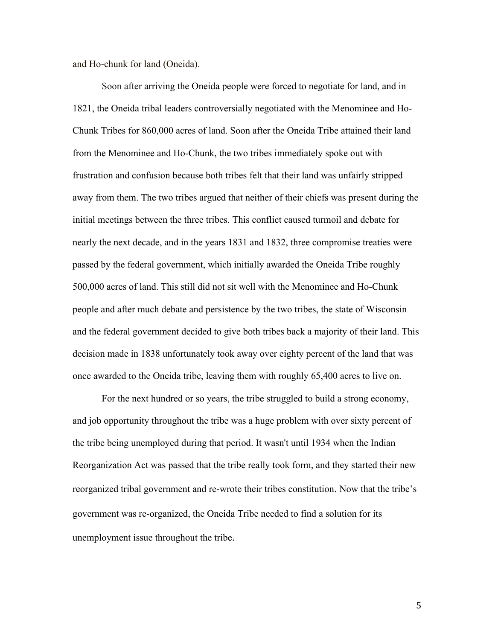and Ho-chunk for land (Oneida).

Soon after arriving the Oneida people were forced to negotiate for land, and in 1821, the Oneida tribal leaders controversially negotiated with the Menominee and Ho-Chunk Tribes for 860,000 acres of land. Soon after the Oneida Tribe attained their land from the Menominee and Ho-Chunk, the two tribes immediately spoke out with frustration and confusion because both tribes felt that their land was unfairly stripped away from them. The two tribes argued that neither of their chiefs was present during the initial meetings between the three tribes. This conflict caused turmoil and debate for nearly the next decade, and in the years 1831 and 1832, three compromise treaties were passed by the federal government, which initially awarded the Oneida Tribe roughly 500,000 acres of land. This still did not sit well with the Menominee and Ho-Chunk people and after much debate and persistence by the two tribes, the state of Wisconsin and the federal government decided to give both tribes back a majority of their land. This decision made in 1838 unfortunately took away over eighty percent of the land that was once awarded to the Oneida tribe, leaving them with roughly 65,400 acres to live on.

For the next hundred or so years, the tribe struggled to build a strong economy, and job opportunity throughout the tribe was a huge problem with over sixty percent of the tribe being unemployed during that period. It wasn't until 1934 when the Indian Reorganization Act was passed that the tribe really took form, and they started their new reorganized tribal government and re-wrote their tribes constitution. Now that the tribe's government was re-organized, the Oneida Tribe needed to find a solution for its unemployment issue throughout the tribe.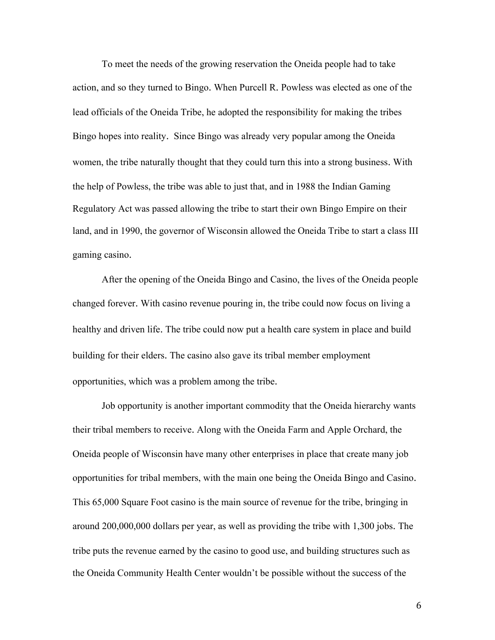To meet the needs of the growing reservation the Oneida people had to take action, and so they turned to Bingo. When Purcell R. Powless was elected as one of the lead officials of the Oneida Tribe, he adopted the responsibility for making the tribes Bingo hopes into reality. Since Bingo was already very popular among the Oneida women, the tribe naturally thought that they could turn this into a strong business. With the help of Powless, the tribe was able to just that, and in 1988 the Indian Gaming Regulatory Act was passed allowing the tribe to start their own Bingo Empire on their land, and in 1990, the governor of Wisconsin allowed the Oneida Tribe to start a class III gaming casino.

After the opening of the Oneida Bingo and Casino, the lives of the Oneida people changed forever. With casino revenue pouring in, the tribe could now focus on living a healthy and driven life. The tribe could now put a health care system in place and build building for their elders. The casino also gave its tribal member employment opportunities, which was a problem among the tribe.

Job opportunity is another important commodity that the Oneida hierarchy wants their tribal members to receive. Along with the Oneida Farm and Apple Orchard, the Oneida people of Wisconsin have many other enterprises in place that create many job opportunities for tribal members, with the main one being the Oneida Bingo and Casino. This 65,000 Square Foot casino is the main source of revenue for the tribe, bringing in around 200,000,000 dollars per year, as well as providing the tribe with 1,300 jobs. The tribe puts the revenue earned by the casino to good use, and building structures such as the Oneida Community Health Center wouldn't be possible without the success of the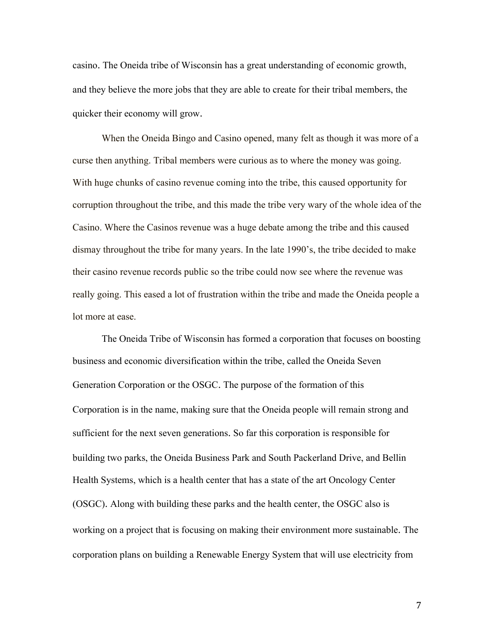casino. The Oneida tribe of Wisconsin has a great understanding of economic growth, and they believe the more jobs that they are able to create for their tribal members, the quicker their economy will grow.

When the Oneida Bingo and Casino opened, many felt as though it was more of a curse then anything. Tribal members were curious as to where the money was going. With huge chunks of casino revenue coming into the tribe, this caused opportunity for corruption throughout the tribe, and this made the tribe very wary of the whole idea of the Casino. Where the Casinos revenue was a huge debate among the tribe and this caused dismay throughout the tribe for many years. In the late 1990's, the tribe decided to make their casino revenue records public so the tribe could now see where the revenue was really going. This eased a lot of frustration within the tribe and made the Oneida people a lot more at ease.

The Oneida Tribe of Wisconsin has formed a corporation that focuses on boosting business and economic diversification within the tribe, called the Oneida Seven Generation Corporation or the OSGC. The purpose of the formation of this Corporation is in the name, making sure that the Oneida people will remain strong and sufficient for the next seven generations. So far this corporation is responsible for building two parks, the Oneida Business Park and South Packerland Drive, and Bellin Health Systems, which is a health center that has a state of the art Oncology Center (OSGC). Along with building these parks and the health center, the OSGC also is working on a project that is focusing on making their environment more sustainable. The corporation plans on building a Renewable Energy System that will use electricity from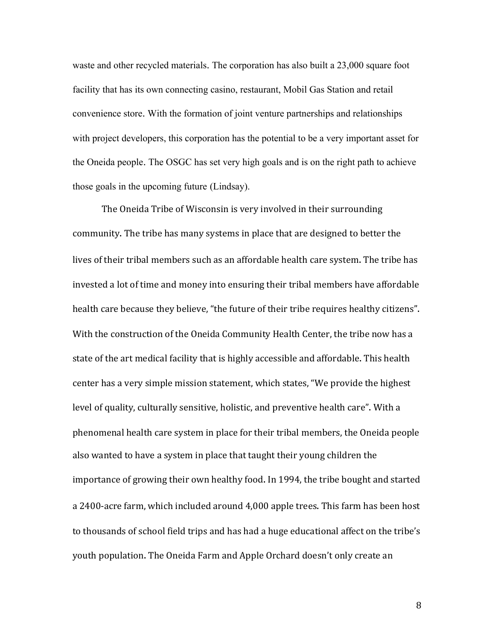waste and other recycled materials. The corporation has also built a 23,000 square foot facility that has its own connecting casino, restaurant, Mobil Gas Station and retail convenience store. With the formation of joint venture partnerships and relationships with project developers, this corporation has the potential to be a very important asset for the Oneida people. The OSGC has set very high goals and is on the right path to achieve those goals in the upcoming future (Lindsay).

The Oneida Tribe of Wisconsin is very involved in their surrounding community. The tribe has many systems in place that are designed to better the lives of their tribal members such as an affordable health care system. The tribe has invested a lot of time and money into ensuring their tribal members have affordable health care because they believe, "the future of their tribe requires healthy citizens". With the construction of the Oneida Community Health Center, the tribe now has a state of the art medical facility that is highly accessible and affordable. This health center has a very simple mission statement, which states, "We provide the highest level of quality, culturally sensitive, holistic, and preventive health care". With a phenomenal health care system in place for their tribal members, the Oneida people also wanted to have a system in place that taught their young children the importance of growing their own healthy food. In 1994, the tribe bought and started a 2400-acre farm, which included around 4,000 apple trees. This farm has been host to thousands of school field trips and has had a huge educational affect on the tribe's youth population. The Oneida Farm and Apple Orchard doesn't only create an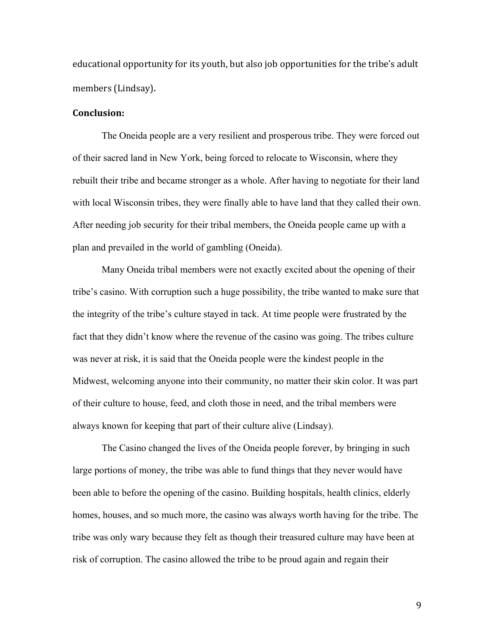educational opportunity for its youth, but also job opportunities for the tribe's adult members (Lindsay).

## **Conclusion:**

The Oneida people are a very resilient and prosperous tribe. They were forced out of their sacred land in New York, being forced to relocate to Wisconsin, where they rebuilt their tribe and became stronger as a whole. After having to negotiate for their land with local Wisconsin tribes, they were finally able to have land that they called their own. After needing job security for their tribal members, the Oneida people came up with a plan and prevailed in the world of gambling (Oneida).

Many Oneida tribal members were not exactly excited about the opening of their tribe's casino. With corruption such a huge possibility, the tribe wanted to make sure that the integrity of the tribe's culture stayed in tack. At time people were frustrated by the fact that they didn't know where the revenue of the casino was going. The tribes culture was never at risk, it is said that the Oneida people were the kindest people in the Midwest, welcoming anyone into their community, no matter their skin color. It was part of their culture to house, feed, and cloth those in need, and the tribal members were always known for keeping that part of their culture alive (Lindsay).

The Casino changed the lives of the Oneida people forever, by bringing in such large portions of money, the tribe was able to fund things that they never would have been able to before the opening of the casino. Building hospitals, health clinics, elderly homes, houses, and so much more, the casino was always worth having for the tribe. The tribe was only wary because they felt as though their treasured culture may have been at risk of corruption. The casino allowed the tribe to be proud again and regain their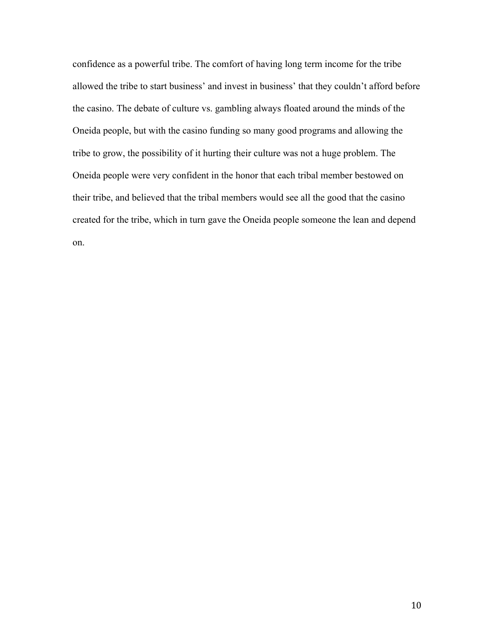confidence as a powerful tribe. The comfort of having long term income for the tribe allowed the tribe to start business' and invest in business' that they couldn't afford before the casino. The debate of culture vs. gambling always floated around the minds of the Oneida people, but with the casino funding so many good programs and allowing the tribe to grow, the possibility of it hurting their culture was not a huge problem. The Oneida people were very confident in the honor that each tribal member bestowed on their tribe, and believed that the tribal members would see all the good that the casino created for the tribe, which in turn gave the Oneida people someone the lean and depend on.